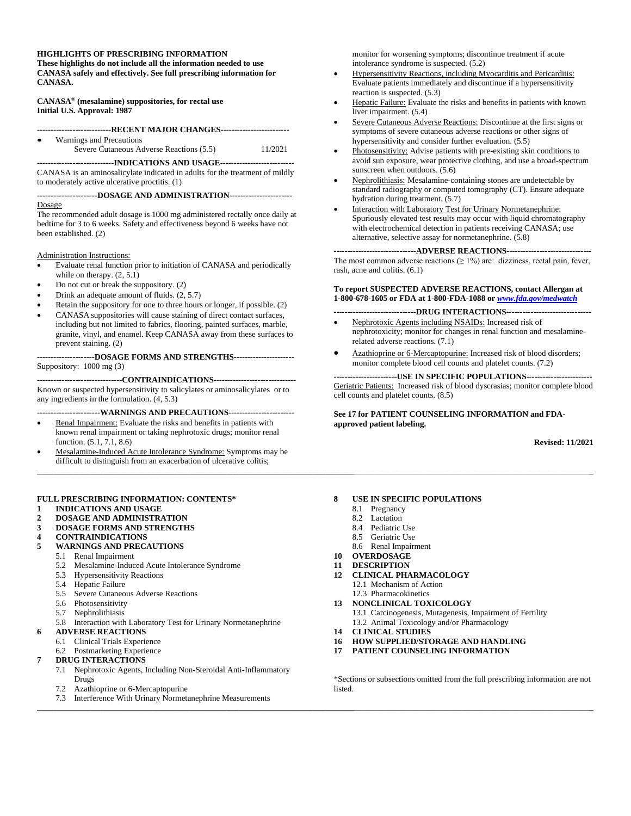#### **HIGHLIGHTS OF PRESCRIBING INFORMATION**

**These highlights do not include all the information needed to use CANASA safely and effectively. See full prescribing information for CANASA.** 

**CANASA® (mesalamine) suppositories, for rectal use Initial U.S. Approval: 1987** 

**---------------------------RECENT MAJOR CHANGES-------------------------**  Warnings and Precautions Severe Cutaneous Adverse Reactions (5.5) 11/2021

**----------------------------INDICATIONS AND USAGE---------------------------**  CANASA is an aminosalicylate indicated in adults for the treatment of mildly to moderately active ulcerative proctitis. (1)

**----------------------DOSAGE AND ADMINISTRATION-----------------------** 

#### Dosage

The recommended adult dosage is 1000 mg administered rectally once daily at bedtime for 3 to 6 weeks. Safety and effectiveness beyond 6 weeks have not been established. (2)

Administration Instructions:

- Evaluate renal function prior to initiation of CANASA and periodically while on therapy.  $(2, 5.1)$
- Do not cut or break the suppository. (2)
- Drink an adequate amount of fluids. (2, 5.7)
- Retain the suppository for one to three hours or longer, if possible. (2)
- CANASA suppositories will cause staining of direct contact surfaces, including but not limited to fabrics, flooring, painted surfaces, marble, granite, vinyl, and enamel. Keep CANASA away from these surfaces to prevent staining. (2)

**---------------------DOSAGE FORMS AND STRENGTHS----------------------** Suppository: 1000 mg (3)

**-------------------------------CONTRAINDICATIONS------------------------------**  Known or suspected hypersensitivity to salicylates or aminosalicylates or to any ingredients in the formulation. (4, 5.3)

**-----------------------WARNINGS AND PRECAUTIONS------------------------** 

- Renal Impairment: Evaluate the risks and benefits in patients with known renal impairment or taking nephrotoxic drugs; monitor renal function. (5.1, 7.1, 8.6)
- Mesalamine-Induced Acute Intolerance Syndrome: Symptoms may be difficult to distinguish from an exacerbation of ulcerative colitis; **\_\_\_\_\_\_\_\_\_\_\_\_\_\_\_\_\_\_\_\_\_\_\_\_\_\_\_\_\_\_\_\_\_\_\_\_\_\_\_\_\_\_\_\_\_\_\_\_\_\_\_\_\_\_\_\_\_\_\_\_\_\_\_\_\_\_\_\_\_\_\_\_\_\_\_\_\_**\_\_\_\_\_\_\_\_\_\_\_\_\_\_\_\_\_\_\_\_\_\_\_\_\_\_\_\_\_\_\_\_\_\_\_\_\_\_\_\_\_\_\_\_\_\_\_\_\_\_\_\_\_\_\_\_\_**\_**

#### **FULL PRESCRIBING INFORMATION: CONTENTS\***

- **1 [INDICATIONS AND USAGE](#page-1-0)**
- **2 [DOSAGE AND ADMINISTRATION](#page-1-1) 3 [DOSAGE FORMS AND STRENGTHS](#page-1-2)**
- **4 [CONTRAINDICATIONS](#page-1-3)**
- 

# **5 [WARNINGS AND PRECAUTIONS](#page-1-4)**

- 5.1 [Renal Impairment](#page-1-5)
- 5.2 [Mesalamine-Induced Acute Intolerance Syndrome](#page-1-6)
- 5.3 [Hypersensitivity Reactions](#page-1-7)
- 5.4 [Hepatic Failure](#page-2-0)
- [5.5 Severe Cutaneous Adverse Reactions](#page-2-1)
- [5.6 Photosensitivity](#page-2-2)
- 5.7 [Nephrolithiasis](#page-2-3)
- 5.8 [Interaction with Laboratory Test for Urinary Normetanephrine](#page-2-4)
- **6 [ADVERSE REACTIONS](#page-2-5)**
	-
	- 6.1 [Clinical Trials Experience](#page-2-6) [Postmarketing Experience](#page-3-0)
- **7 [DRUG INTERACTIONS](#page-3-1)**
	- 7.1 [Nephrotoxic Agents, Including Non-Steroidal Anti-Inflammatory](#page-3-2)  [Drugs](#page-3-2)
	- 7.2 [Azathioprine or 6-Mercaptopurine](#page-3-3)
	- 7.3 [Interference With Urinary Normetanephrine Measurements](#page-3-4)

monitor for worsening symptoms; discontinue treatment if acute intolerance syndrome is suspected. (5.2)

- Hypersensitivity Reactions, including Myocarditis and Pericarditis: Evaluate patients immediately and discontinue if a hypersensitivity reaction is suspected. (5.3)
- Hepatic Failure: Evaluate the risks and benefits in patients with known liver impairment. (5.4)
- Severe Cutaneous Adverse Reactions: Discontinue at the first signs or symptoms of severe cutaneous adverse reactions or other signs of hypersensitivity and consider further evaluation. (5.5)
- Photosensitivity: Advise patients with pre-existing skin conditions to avoid sun exposure, wear protective clothing, and use a broad-spectrum sunscreen when outdoors. (5.6)
- Nephrolithiasis: Mesalamine-containing stones are undetectable by standard radiography or computed tomography (CT). Ensure adequate hydration during treatment. (5.7)
- Interaction with Laboratory Test for Urinary Normetanephrine: Spuriously elevated test results may occur with liquid chromatography with electrochemical detection in patients receiving CANASA; use alternative, selective assay for normetanephrine. (5.8)

**------------------------------ADVERSE REACTIONS-------------------------------**  The most common adverse reactions  $(≥ 1%)$  are: dizziness, rectal pain, fever, rash, acne and colitis. (6.1)

#### **To report SUSPECTED ADVERSE REACTIONS, contact Allergan at 1-800-678-1605 or FDA at 1-800-FDA-1088 or** *[www.fda.gov/medwatch](http://www.fda.gov/medwatch)*

**------------------------------DRUG INTERACTIONS-------------------------------**

- Nephrotoxic Agents including NSAIDs: Increased risk of nephrotoxicity; monitor for changes in renal function and mesalaminerelated adverse reactions. (7.1)
- Azathioprine or 6-Mercaptopurine: Increased risk of blood disorders; monitor complete blood cell counts and platelet counts. (7.2)

#### **-----------------------USE IN SPECIFIC POPULATIONS------------------------**

Geriatric Patients: Increased risk of blood dyscrasias; monitor complete blood cell counts and platelet counts. (8.5)

**See 17 for PATIENT COUNSELING INFORMATION and FDAapproved patient labeling.** 

**Revised: 11/2021** 

#### **8 [USE IN SPECIFIC POPULATIONS](#page-3-5)**

- 8.1 [Pregnancy](#page-3-6)
- 8.2 [Lactation](#page-4-0)
- 8.4 [Pediatric Use](#page-4-1)
- 8.5 [Geriatric Use](#page-4-2)
- 8.6 [Renal Impairment](#page-4-3)
- **10 [OVERDOSAGE](#page-4-4)**
- **11 [DESCRIPTION](#page-4-5)**
- **12 [CLINICAL PHARMACOLOGY](#page-5-0)**
	- 12.1 [Mechanism of Action](#page-5-1) 12.3 [Pharmacokinetics](#page-5-2)
- **13 [NONCLINICAL TOXICOLOGY](#page-5-3)**
	- 13.1 [Carcinogenesis, Mutagenesis, Impairment of Fertility](#page-5-4) 13.2 [Animal Toxicology and/or Pharmacology](#page-6-0)
- **14 [CLINICAL STUDIES](#page-6-1)**
- 

**\_\_\_\_\_\_\_\_\_\_\_\_\_\_\_\_\_\_\_\_\_\_\_\_\_\_\_\_\_\_\_\_\_\_\_\_\_\_\_\_\_\_\_\_\_\_\_\_\_\_\_\_\_\_\_\_\_\_\_\_\_\_\_\_\_\_\_\_\_\_\_\_\_\_\_\_\_**\_\_\_\_\_\_\_\_\_\_\_\_\_\_\_\_\_\_\_\_\_\_\_\_\_\_\_\_\_\_\_\_\_\_\_\_\_\_\_\_\_\_\_\_\_\_\_\_\_\_\_\_\_\_\_\_\_**\_** 

**16 [HOW SUPPLIED/STORAGE AND HANDLING](#page-7-0) 17 [PATIENT COUNSELING INFORMATION](#page-7-1)**

\*Sections or subsections omitted from the full prescribing information are not listed.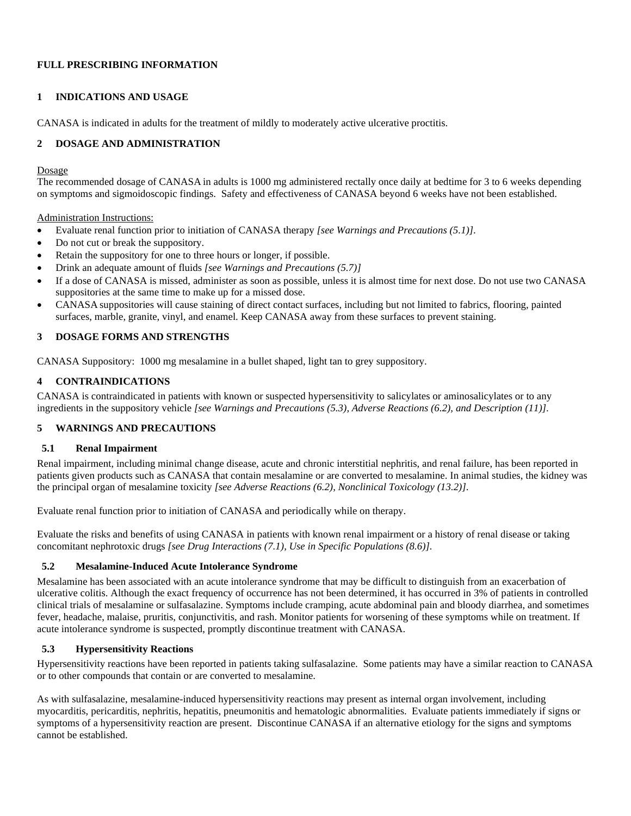## **FULL PRESCRIBING INFORMATION**

#### <span id="page-1-0"></span>**1 INDICATIONS AND USAGE**

CANASA is indicated in adults for the treatment of mildly to moderately active ulcerative proctitis.

## <span id="page-1-1"></span>**2 DOSAGE AND ADMINISTRATION**

#### Dosage

The recommended dosage of CANASA in adults is 1000 mg administered rectally once daily at bedtime for 3 to 6 weeks depending on symptoms and sigmoidoscopic findings. Safety and effectiveness of CANASA beyond 6 weeks have not been established.

Administration Instructions:

- Evaluate renal function prior to initiation of CANASA therapy *[see Warnings and Precautions (5.1)]*.
- Do not cut or break the suppository.
- Retain the suppository for one to three hours or longer, if possible.
- Drink an adequate amount of fluids *[see Warnings and Precautions (5.7)]*
- If a dose of CANASA is missed, administer as soon as possible, unless it is almost time for next dose. Do not use two CANASA suppositories at the same time to make up for a missed dose.
- CANASA suppositories will cause staining of direct contact surfaces, including but not limited to fabrics, flooring, painted surfaces, marble, granite, vinyl, and enamel. Keep CANASA away from these surfaces to prevent staining.

## <span id="page-1-2"></span>**3 DOSAGE FORMS AND STRENGTHS**

CANASA Suppository: 1000 mg mesalamine in a bullet shaped, light tan to grey suppository.

## <span id="page-1-3"></span>**4 CONTRAINDICATIONS**

CANASA is contraindicated in patients with known or suspected hypersensitivity to salicylates or aminosalicylates or to any ingredients in the suppository vehicle *[see Warnings and Precautions (5.3), Adverse Reactions (6.2), and Description (11)]*.

## <span id="page-1-4"></span>**5 WARNINGS AND PRECAUTIONS**

#### <span id="page-1-5"></span>**5.1 Renal Impairment**

Renal impairment, including minimal change disease, acute and chronic interstitial nephritis, and renal failure, has been reported in patients given products such as CANASA that contain mesalamine or are converted to mesalamine. In animal studies, the kidney was the principal organ of mesalamine toxicity *[see Adverse Reactions (6.2), Nonclinical Toxicology (13.2)]*.

Evaluate renal function prior to initiation of CANASA and periodically while on therapy.

Evaluate the risks and benefits of using CANASA in patients with known renal impairment or a history of renal disease or taking concomitant nephrotoxic drugs *[see Drug Interactions (7.1), Use in Specific Populations (8.6)].* 

#### <span id="page-1-6"></span>**5.2 Mesalamine-Induced Acute Intolerance Syndrome**

Mesalamine has been associated with an acute intolerance syndrome that may be difficult to distinguish from an exacerbation of ulcerative colitis. Although the exact frequency of occurrence has not been determined, it has occurred in 3% of patients in controlled clinical trials of mesalamine or sulfasalazine. Symptoms include cramping, acute abdominal pain and bloody diarrhea, and sometimes fever, headache, malaise, pruritis, conjunctivitis, and rash. Monitor patients for worsening of these symptoms while on treatment. If acute intolerance syndrome is suspected, promptly discontinue treatment with CANASA.

## <span id="page-1-7"></span>**5.3 Hypersensitivity Reactions**

Hypersensitivity reactions have been reported in patients taking sulfasalazine. Some patients may have a similar reaction to CANASA or to other compounds that contain or are converted to mesalamine.

As with sulfasalazine, mesalamine-induced hypersensitivity reactions may present as internal organ involvement, including myocarditis, pericarditis, nephritis, hepatitis, pneumonitis and hematologic abnormalities. Evaluate patients immediately if signs or symptoms of a hypersensitivity reaction are present. Discontinue CANASA if an alternative etiology for the signs and symptoms cannot be established.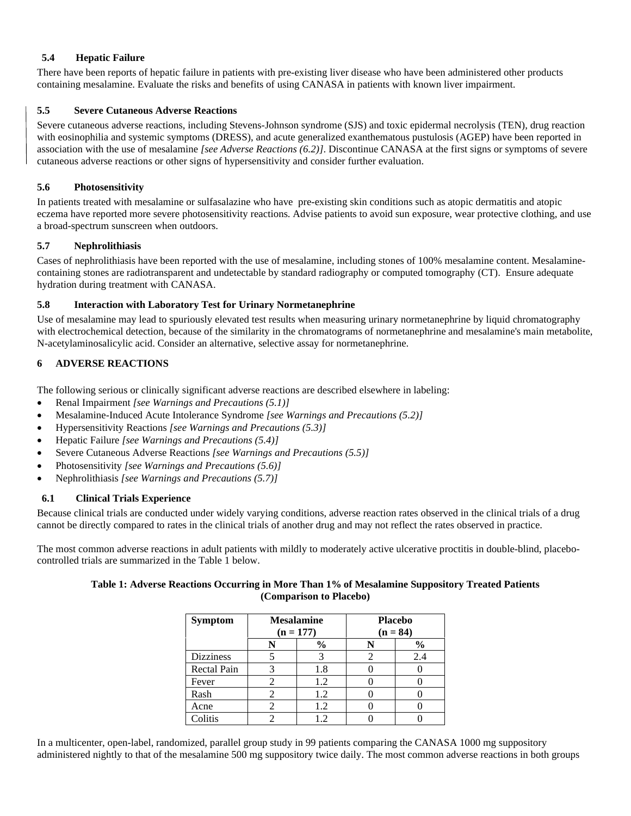## <span id="page-2-0"></span>**5.4 Hepatic Failure**

There have been reports of hepatic failure in patients with pre-existing liver disease who have been administered other products containing mesalamine. Evaluate the risks and benefits of using CANASA in patients with known liver impairment.

## <span id="page-2-1"></span>**5.5 Severe Cutaneous Adverse Reactions**

Severe cutaneous adverse reactions, including Stevens-Johnson syndrome (SJS) and toxic epidermal necrolysis (TEN), drug reaction with eosinophilia and systemic symptoms (DRESS), and acute generalized exanthematous pustulosis (AGEP) have been reported in association with the use of mesalamine *[see Adverse Reactions (6.2)]*. Discontinue CANASA at the first signs or symptoms of severe cutaneous adverse reactions or other signs of hypersensitivity and consider further evaluation.

## <span id="page-2-2"></span>**5.6 Photosensitivity**

In patients treated with mesalamine or sulfasalazine who have pre-existing skin conditions such as atopic dermatitis and atopic eczema have reported more severe photosensitivity reactions. Advise patients to avoid sun exposure, wear protective clothing, and use a broad-spectrum sunscreen when outdoors.

## <span id="page-2-3"></span>**5.7 Nephrolithiasis**

Cases of nephrolithiasis have been reported with the use of mesalamine, including stones of 100% mesalamine content. Mesalaminecontaining stones are radiotransparent and undetectable by standard radiography or computed tomography (CT). Ensure adequate hydration during treatment with CANASA.

#### <span id="page-2-4"></span>**5.8 Interaction with Laboratory Test for Urinary Normetanephrine**

Use of mesalamine may lead to spuriously elevated test results when measuring urinary normetanephrine by liquid chromatography with electrochemical detection, because of the similarity in the chromatograms of normetanephrine and mesalamine's main metabolite, N-acetylaminosalicylic acid. Consider an alternative, selective assay for normetanephrine.

## <span id="page-2-5"></span>**6 ADVERSE REACTIONS**

The following serious or clinically significant adverse reactions are described elsewhere in labeling:

- Renal Impairment *[see Warnings and Precautions (5.1)]*
- Mesalamine-Induced Acute Intolerance Syndrome *[see Warnings and Precautions (5.2)]*
- Hypersensitivity Reactions *[see Warnings and Precautions (5.3)]*
- Hepatic Failure *[see Warnings and Precautions (5.4)]*
- Severe Cutaneous Adverse Reactions *[see Warnings and Precautions (5.5)]*
- Photosensitivity *[see Warnings and Precautions (5.6)]*
- Nephrolithiasis *[see Warnings and Precautions (5.7)]*

## <span id="page-2-6"></span>**6.1 Clinical Trials Experience**

Because clinical trials are conducted under widely varying conditions, adverse reaction rates observed in the clinical trials of a drug cannot be directly compared to rates in the clinical trials of another drug and may not reflect the rates observed in practice.

The most common adverse reactions in adult patients with mildly to moderately active ulcerative proctitis in double-blind, placebocontrolled trials are summarized in the Table 1 below.

#### **Table 1: Adverse Reactions Occurring in More Than 1% of Mesalamine Suppository Treated Patients (Comparison to Placebo)**

| <b>Symptom</b>     | <b>Mesalamine</b><br>$(n = 177)$ | <b>Placebo</b><br>$(n = 84)$ |               |  |
|--------------------|----------------------------------|------------------------------|---------------|--|
|                    | $\frac{0}{0}$                    |                              | $\frac{0}{0}$ |  |
| <b>Dizziness</b>   |                                  |                              | 2.4           |  |
| <b>Rectal Pain</b> | 1.8                              |                              |               |  |
| Fever              | 1.2                              |                              |               |  |
| Rash               | 1.2                              |                              |               |  |
| Acne               | 1.2                              |                              |               |  |
| Colitis            | $\mathcal{D}$                    |                              |               |  |

In a multicenter, open-label, randomized, parallel group study in 99 patients comparing the CANASA 1000 mg suppository administered nightly to that of the mesalamine 500 mg suppository twice daily. The most common adverse reactions in both groups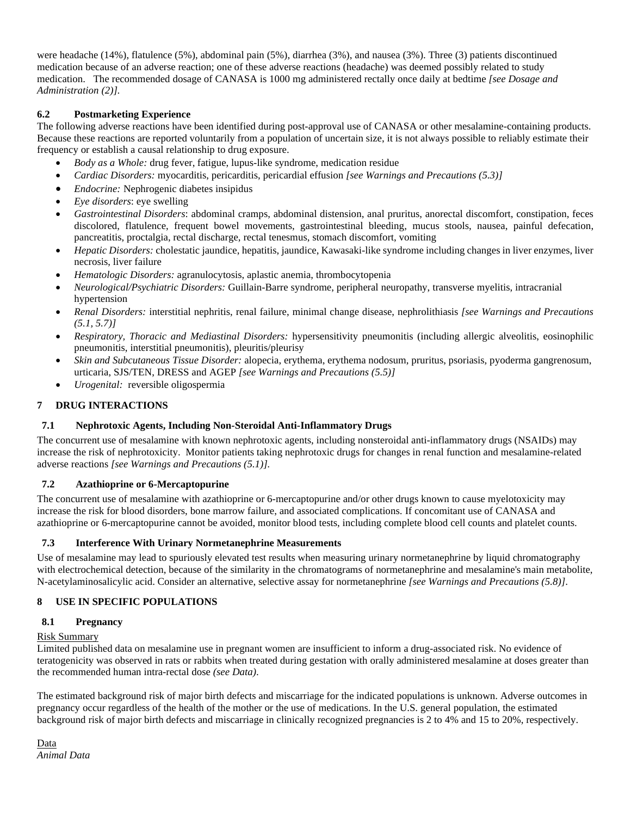were headache (14%), flatulence (5%), abdominal pain (5%), diarrhea (3%), and nausea (3%). Three (3) patients discontinued medication because of an adverse reaction; one of these adverse reactions (headache) was deemed possibly related to study medication. The recommended dosage of CANASA is 1000 mg administered rectally once daily at bedtime *[see Dosage and Administration (2)].* 

## <span id="page-3-0"></span>**6.2 Postmarketing Experience**

The following adverse reactions have been identified during post-approval use of CANASA or other mesalamine-containing products. Because these reactions are reported voluntarily from a population of uncertain size, it is not always possible to reliably estimate their frequency or establish a causal relationship to drug exposure.

- *Body as a Whole:* drug fever, fatigue, lupus-like syndrome, medication residue
- *Cardiac Disorders:* myocarditis, pericarditis, pericardial effusion *[see Warnings and Precautions (5.3)]*
- *Endocrine:* Nephrogenic diabetes insipidus
- *Eye disorders*: eye swelling
- *Gastrointestinal Disorders*: abdominal cramps, abdominal distension, anal pruritus, anorectal discomfort, constipation, feces discolored, flatulence, frequent bowel movements, gastrointestinal bleeding, mucus stools, nausea, painful defecation, pancreatitis, proctalgia, rectal discharge, rectal tenesmus, stomach discomfort, vomiting
- *Hepatic Disorders:* cholestatic jaundice, hepatitis, jaundice, Kawasaki-like syndrome including changes in liver enzymes, liver necrosis, liver failure
- *Hematologic Disorders:* agranulocytosis, aplastic anemia, thrombocytopenia
- *Neurological/Psychiatric Disorders:* Guillain-Barre syndrome, peripheral neuropathy, transverse myelitis, intracranial hypertension
- *Renal Disorders:* interstitial nephritis, renal failure, minimal change disease, nephrolithiasis *[see Warnings and Precautions (5.1, 5.7)]*
- *Respiratory, Thoracic and Mediastinal Disorders:* hypersensitivity pneumonitis (including allergic alveolitis, eosinophilic pneumonitis, interstitial pneumonitis), pleuritis/pleurisy
- *Skin and Subcutaneous Tissue Disorder:* alopecia, erythema, erythema nodosum, pruritus, psoriasis*,* pyoderma gangrenosum, urticaria, SJS/TEN, DRESS and AGEP *[see Warnings and Precautions (5.5)]*
- *Urogenital:* reversible oligospermia

## <span id="page-3-1"></span>**7 DRUG INTERACTIONS**

#### <span id="page-3-2"></span>**7.1 Nephrotoxic Agents, Including Non-Steroidal Anti-Inflammatory Drugs**

The concurrent use of mesalamine with known nephrotoxic agents, including nonsteroidal anti-inflammatory drugs (NSAIDs) may increase the risk of nephrotoxicity. Monitor patients taking nephrotoxic drugs for changes in renal function and mesalamine-related adverse reactions *[see Warnings and Precautions (5.1)].*

#### <span id="page-3-3"></span>**7.2 Azathioprine or 6-Mercaptopurine**

The concurrent use of mesalamine with azathioprine or 6-mercaptopurine and/or other drugs known to cause myelotoxicity may increase the risk for blood disorders, bone marrow failure, and associated complications. If concomitant use of CANASA and azathioprine or 6-mercaptopurine cannot be avoided, monitor blood tests, including complete blood cell counts and platelet counts.

#### <span id="page-3-4"></span>**7.3 Interference With Urinary Normetanephrine Measurements**

Use of mesalamine may lead to spuriously elevated test results when measuring urinary normetanephrine by liquid chromatography with electrochemical detection, because of the similarity in the chromatograms of normetanephrine and mesalamine's main metabolite, N-acetylaminosalicylic acid. Consider an alternative, selective assay for normetanephrine *[see Warnings and Precautions (5.8)]*.

#### <span id="page-3-5"></span>**8 USE IN SPECIFIC POPULATIONS**

#### <span id="page-3-6"></span>**8.1 Pregnancy**

#### Risk Summary

Limited published data on mesalamine use in pregnant women are insufficient to inform a drug-associated risk. No evidence of teratogenicity was observed in rats or rabbits when treated during gestation with orally administered mesalamine at doses greater than the recommended human intra-rectal dose *(see Data)*.

The estimated background risk of major birth defects and miscarriage for the indicated populations is unknown. Adverse outcomes in pregnancy occur regardless of the health of the mother or the use of medications. In the U.S. general population, the estimated background risk of major birth defects and miscarriage in clinically recognized pregnancies is 2 to 4% and 15 to 20%, respectively.

Data *Animal Data*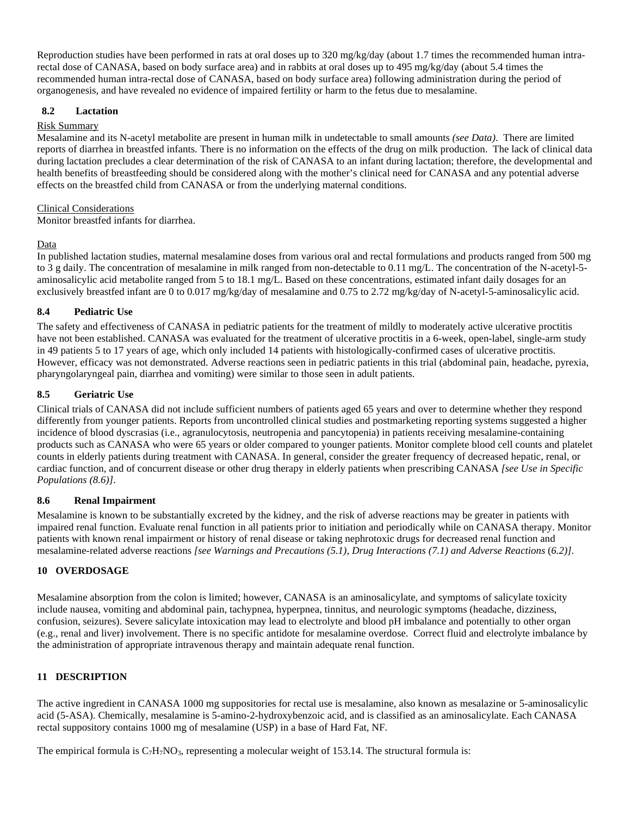Reproduction studies have been performed in rats at oral doses up to 320 mg/kg/day (about 1.7 times the recommended human intrarectal dose of CANASA, based on body surface area) and in rabbits at oral doses up to 495 mg/kg/day (about 5.4 times the recommended human intra-rectal dose of CANASA, based on body surface area) following administration during the period of organogenesis, and have revealed no evidence of impaired fertility or harm to the fetus due to mesalamine.

#### <span id="page-4-0"></span>**8.2 Lactation**

#### Risk Summary

Mesalamine and its N-acetyl metabolite are present in human milk in undetectable to small amounts *(see Data)*. There are limited reports of diarrhea in breastfed infants. There is no information on the effects of the drug on milk production. The lack of clinical data during lactation precludes a clear determination of the risk of CANASA to an infant during lactation; therefore, the developmental and health benefits of breastfeeding should be considered along with the mother's clinical need for CANASA and any potential adverse effects on the breastfed child from CANASA or from the underlying maternal conditions.

#### Clinical Considerations

Monitor breastfed infants for diarrhea.

## Data

In published lactation studies, maternal mesalamine doses from various oral and rectal formulations and products ranged from 500 mg to 3 g daily. The concentration of mesalamine in milk ranged from non-detectable to 0.11 mg/L. The concentration of the N-acetyl-5 aminosalicylic acid metabolite ranged from 5 to 18.1 mg/L. Based on these concentrations, estimated infant daily dosages for an exclusively breastfed infant are 0 to 0.017 mg/kg/day of mesalamine and 0.75 to 2.72 mg/kg/day of N-acetyl-5-aminosalicylic acid.

## <span id="page-4-1"></span>**8.4 Pediatric Use**

The safety and effectiveness of CANASA in pediatric patients for the treatment of mildly to moderately active ulcerative proctitis have not been established. CANASA was evaluated for the treatment of ulcerative proctitis in a 6-week, open-label, single-arm study in 49 patients 5 to 17 years of age, which only included 14 patients with histologically-confirmed cases of ulcerative proctitis. However, efficacy was not demonstrated. Adverse reactions seen in pediatric patients in this trial (abdominal pain, headache, pyrexia, pharyngolaryngeal pain, diarrhea and vomiting) were similar to those seen in adult patients.

## <span id="page-4-2"></span>**8.5 Geriatric Use**

Clinical trials of CANASA did not include sufficient numbers of patients aged 65 years and over to determine whether they respond differently from younger patients. Reports from uncontrolled clinical studies and postmarketing reporting systems suggested a higher incidence of blood dyscrasias (i.e., agranulocytosis, neutropenia and pancytopenia) in patients receiving mesalamine-containing products such as CANASA who were 65 years or older compared to younger patients. Monitor complete blood cell counts and platelet counts in elderly patients during treatment with CANASA. In general, consider the greater frequency of decreased hepatic, renal, or cardiac function, and of concurrent disease or other drug therapy in elderly patients when prescribing CANASA *[see Use in Specific Populations (8.6)]*.

#### <span id="page-4-3"></span>**8.6 Renal Impairment**

Mesalamine is known to be substantially excreted by the kidney, and the risk of adverse reactions may be greater in patients with impaired renal function. Evaluate renal function in all patients prior to initiation and periodically while on CANASA therapy. Monitor patients with known renal impairment or history of renal disease or taking nephrotoxic drugs for decreased renal function and mesalamine-related adverse reactions *[see Warnings and Precautions (5.1), Drug Interactions (7.1) and Adverse Reactions (6.2)]*.

#### <span id="page-4-4"></span>**10 OVERDOSAGE**

Mesalamine absorption from the colon is limited; however, CANASA is an aminosalicylate, and symptoms of salicylate toxicity include nausea, vomiting and abdominal pain, tachypnea, hyperpnea, tinnitus, and neurologic symptoms (headache, dizziness, confusion, seizures). Severe salicylate intoxication may lead to electrolyte and blood pH imbalance and potentially to other organ (e.g., renal and liver) involvement. There is no specific antidote for mesalamine overdose. Correct fluid and electrolyte imbalance by the administration of appropriate intravenous therapy and maintain adequate renal function.

#### <span id="page-4-5"></span>**11 DESCRIPTION**

The active ingredient in CANASA 1000 mg suppositories for rectal use is mesalamine, also known as mesalazine or 5-aminosalicylic acid (5-ASA). Chemically, mesalamine is 5-amino-2-hydroxybenzoic acid, and is classified as an aminosalicylate. Each CANASA rectal suppository contains 1000 mg of mesalamine (USP) in a base of Hard Fat, NF.

The empirical formula is  $C_7H_7NO_3$ , representing a molecular weight of 153.14. The structural formula is: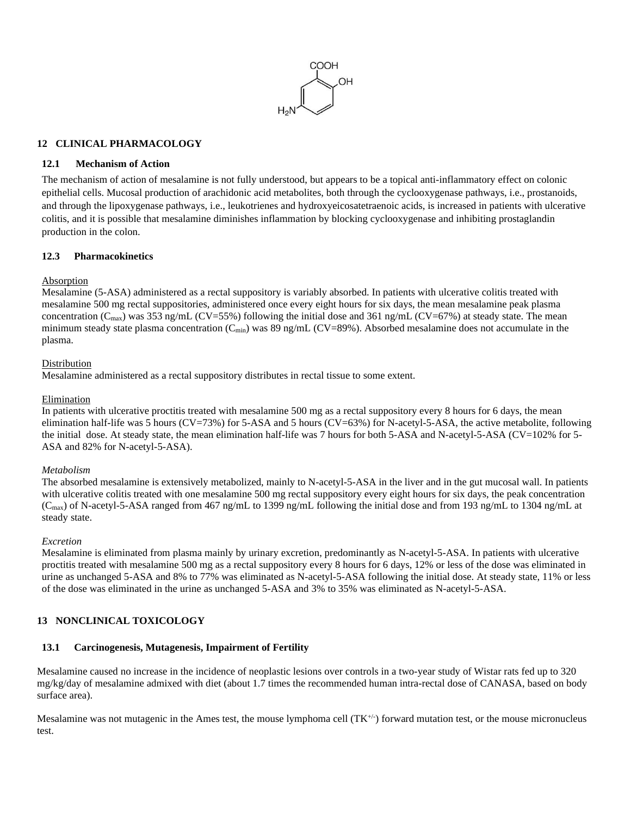

#### <span id="page-5-0"></span>**12 CLINICAL PHARMACOLOGY**

#### <span id="page-5-1"></span>**12.1 Mechanism of Action**

The mechanism of action of mesalamine is not fully understood, but appears to be a topical anti-inflammatory effect on colonic epithelial cells. Mucosal production of arachidonic acid metabolites, both through the cyclooxygenase pathways, i.e., prostanoids, and through the lipoxygenase pathways, i.e., leukotrienes and hydroxyeicosatetraenoic acids, is increased in patients with ulcerative colitis, and it is possible that mesalamine diminishes inflammation by blocking cyclooxygenase and inhibiting prostaglandin production in the colon.

#### <span id="page-5-2"></span>**12.3 Pharmacokinetics**

#### Absorption

Mesalamine (5-ASA) administered as a rectal suppository is variably absorbed. In patients with ulcerative colitis treated with mesalamine 500 mg rectal suppositories, administered once every eight hours for six days, the mean mesalamine peak plasma concentration ( $C_{\text{max}}$ ) was 353 ng/mL (CV=55%) following the initial dose and 361 ng/mL (CV=67%) at steady state. The mean minimum steady state plasma concentration ( $C_{\text{min}}$ ) was 89 ng/mL (CV=89%). Absorbed mesalamine does not accumulate in the plasma.

#### Distribution

Mesalamine administered as a rectal suppository distributes in rectal tissue to some extent.

#### Elimination

In patients with ulcerative proctitis treated with mesalamine 500 mg as a rectal suppository every 8 hours for 6 days, the mean elimination half-life was 5 hours (CV=73%) for 5-ASA and 5 hours (CV=63%) for N-acetyl-5-ASA, the active metabolite, following the initial dose. At steady state, the mean elimination half-life was 7 hours for both 5-ASA and N-acetyl-5-ASA (CV=102% for 5- ASA and 82% for N-acetyl-5-ASA).

#### *Metabolism*

The absorbed mesalamine is extensively metabolized, mainly to N-acetyl-5-ASA in the liver and in the gut mucosal wall. In patients with ulcerative colitis treated with one mesalamine 500 mg rectal suppository every eight hours for six days, the peak concentration  $(C_{\text{max}})$  of N-acetyl-5-ASA ranged from 467 ng/mL to 1399 ng/mL following the initial dose and from 193 ng/mL to 1304 ng/mL at steady state.

#### *Excretion*

Mesalamine is eliminated from plasma mainly by urinary excretion, predominantly as N-acetyl-5-ASA. In patients with ulcerative proctitis treated with mesalamine 500 mg as a rectal suppository every 8 hours for 6 days, 12% or less of the dose was eliminated in urine as unchanged 5-ASA and 8% to 77% was eliminated as N-acetyl-5-ASA following the initial dose. At steady state, 11% or less of the dose was eliminated in the urine as unchanged 5-ASA and 3% to 35% was eliminated as N-acetyl-5-ASA.

## <span id="page-5-3"></span>**13 NONCLINICAL TOXICOLOGY**

#### <span id="page-5-4"></span>**13.1 Carcinogenesis, Mutagenesis, Impairment of Fertility**

Mesalamine caused no increase in the incidence of neoplastic lesions over controls in a two-year study of Wistar rats fed up to 320 mg/kg/day of mesalamine admixed with diet (about 1.7 times the recommended human intra-rectal dose of CANASA, based on body surface area).

Mesalamine was not mutagenic in the Ames test, the mouse lymphoma cell  $(TK^{+/-})$  forward mutation test, or the mouse micronucleus test.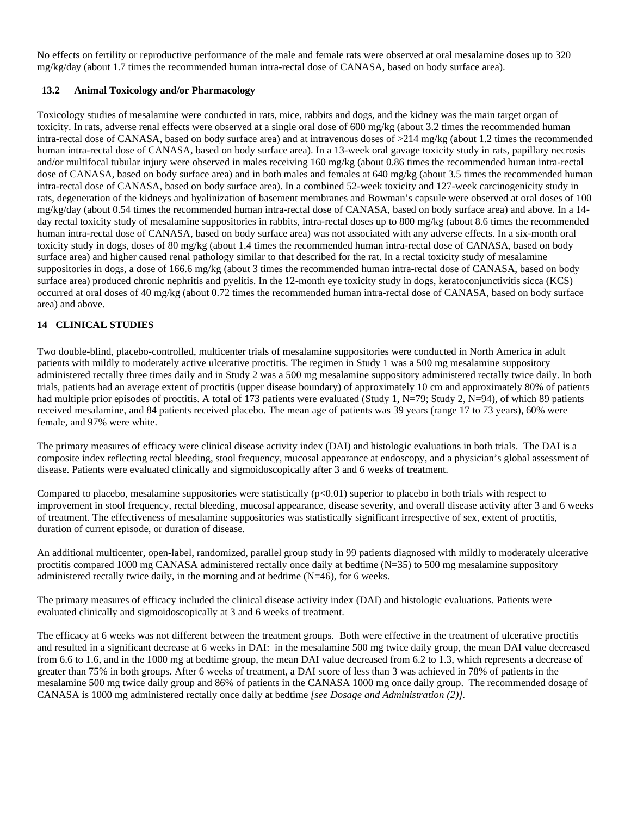No effects on fertility or reproductive performance of the male and female rats were observed at oral mesalamine doses up to 320 mg/kg/day (about 1.7 times the recommended human intra-rectal dose of CANASA, based on body surface area).

#### <span id="page-6-0"></span>**13.2 Animal Toxicology and/or Pharmacology**

Toxicology studies of mesalamine were conducted in rats, mice, rabbits and dogs, and the kidney was the main target organ of toxicity. In rats, adverse renal effects were observed at a single oral dose of 600 mg/kg (about 3.2 times the recommended human intra-rectal dose of CANASA, based on body surface area) and at intravenous doses of >214 mg/kg (about 1.2 times the recommended human intra-rectal dose of CANASA, based on body surface area). In a 13-week oral gavage toxicity study in rats, papillary necrosis and/or multifocal tubular injury were observed in males receiving 160 mg/kg (about 0.86 times the recommended human intra-rectal dose of CANASA, based on body surface area) and in both males and females at 640 mg/kg (about 3.5 times the recommended human intra-rectal dose of CANASA, based on body surface area). In a combined 52-week toxicity and 127-week carcinogenicity study in rats, degeneration of the kidneys and hyalinization of basement membranes and Bowman's capsule were observed at oral doses of 100 mg/kg/day (about 0.54 times the recommended human intra-rectal dose of CANASA, based on body surface area) and above. In a 14 day rectal toxicity study of mesalamine suppositories in rabbits, intra-rectal doses up to 800 mg/kg (about 8.6 times the recommended human intra-rectal dose of CANASA, based on body surface area) was not associated with any adverse effects. In a six-month oral toxicity study in dogs, doses of 80 mg/kg (about 1.4 times the recommended human intra-rectal dose of CANASA, based on body surface area) and higher caused renal pathology similar to that described for the rat. In a rectal toxicity study of mesalamine suppositories in dogs, a dose of 166.6 mg/kg (about 3 times the recommended human intra-rectal dose of CANASA, based on body surface area) produced chronic nephritis and pyelitis. In the 12-month eye toxicity study in dogs, keratoconjunctivitis sicca (KCS) occurred at oral doses of 40 mg/kg (about 0.72 times the recommended human intra-rectal dose of CANASA, based on body surface area) and above.

## <span id="page-6-1"></span>**14 CLINICAL STUDIES**

Two double-blind, placebo-controlled, multicenter trials of mesalamine suppositories were conducted in North America in adult patients with mildly to moderately active ulcerative proctitis. The regimen in Study 1 was a 500 mg mesalamine suppository administered rectally three times daily and in Study 2 was a 500 mg mesalamine suppository administered rectally twice daily. In both trials, patients had an average extent of proctitis (upper disease boundary) of approximately 10 cm and approximately 80% of patients had multiple prior episodes of proctitis. A total of 173 patients were evaluated (Study 1, N=79; Study 2, N=94), of which 89 patients received mesalamine, and 84 patients received placebo. The mean age of patients was 39 years (range 17 to 73 years), 60% were female, and 97% were white.

The primary measures of efficacy were clinical disease activity index (DAI) and histologic evaluations in both trials. The DAI is a composite index reflecting rectal bleeding, stool frequency, mucosal appearance at endoscopy, and a physician's global assessment of disease. Patients were evaluated clinically and sigmoidoscopically after 3 and 6 weeks of treatment.

Compared to placebo, mesalamine suppositories were statistically  $(p<0.01)$  superior to placebo in both trials with respect to improvement in stool frequency, rectal bleeding, mucosal appearance, disease severity, and overall disease activity after 3 and 6 weeks of treatment. The effectiveness of mesalamine suppositories was statistically significant irrespective of sex, extent of proctitis, duration of current episode, or duration of disease.

An additional multicenter, open-label, randomized, parallel group study in 99 patients diagnosed with mildly to moderately ulcerative proctitis compared 1000 mg CANASA administered rectally once daily at bedtime (N=35) to 500 mg mesalamine suppository administered rectally twice daily, in the morning and at bedtime (N=46), for 6 weeks.

The primary measures of efficacy included the clinical disease activity index (DAI) and histologic evaluations. Patients were evaluated clinically and sigmoidoscopically at 3 and 6 weeks of treatment.

The efficacy at 6 weeks was not different between the treatment groups. Both were effective in the treatment of ulcerative proctitis and resulted in a significant decrease at 6 weeks in DAI: in the mesalamine 500 mg twice daily group, the mean DAI value decreased from 6.6 to 1.6, and in the 1000 mg at bedtime group, the mean DAI value decreased from 6.2 to 1.3, which represents a decrease of greater than 75% in both groups. After 6 weeks of treatment, a DAI score of less than 3 was achieved in 78% of patients in the mesalamine 500 mg twice daily group and 86% of patients in the CANASA 1000 mg once daily group. The recommended dosage of CANASA is 1000 mg administered rectally once daily at bedtime *[see Dosage and Administration (2)].*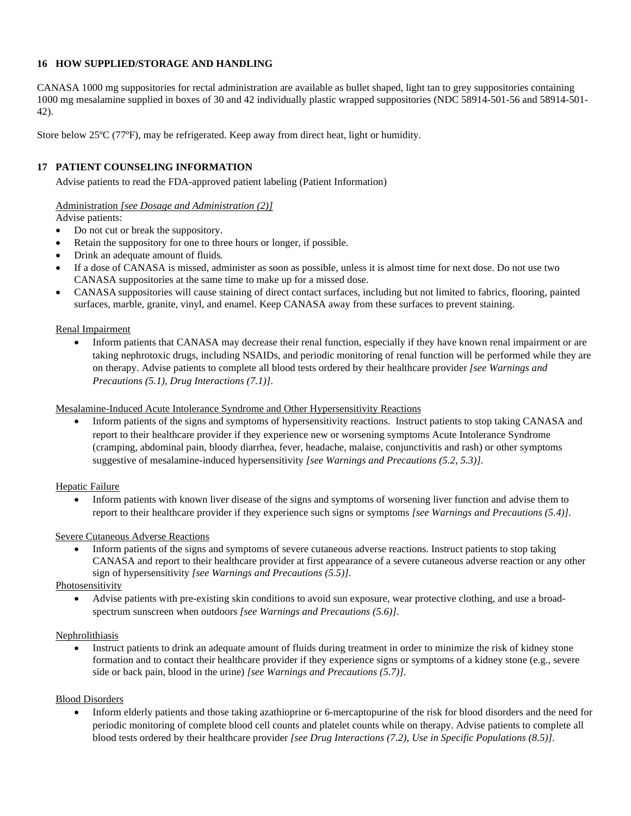#### <span id="page-7-0"></span>**16 HOW SUPPLIED/STORAGE AND HANDLING**

CANASA 1000 mg suppositories for rectal administration are available as bullet shaped, light tan to grey suppositories containing 1000 mg mesalamine supplied in boxes of 30 and 42 individually plastic wrapped suppositories (NDC 58914-501-56 and 58914-501- 42).

Store below 25ºC (77ºF), may be refrigerated. Keep away from direct heat, light or humidity.

## <span id="page-7-1"></span>**17 PATIENT COUNSELING INFORMATION**

Advise patients to read the FDA-approved patient labeling (Patient Information)

## Administration *[see Dosage and Administration (2)]*

Advise patients:

- Do not cut or break the suppository.
- Retain the suppository for one to three hours or longer, if possible.
- Drink an adequate amount of fluids*.*
- If a dose of CANASA is missed, administer as soon as possible, unless it is almost time for next dose. Do not use two CANASA suppositories at the same time to make up for a missed dose.
- CANASA suppositories will cause staining of direct contact surfaces, including but not limited to fabrics, flooring, painted surfaces, marble, granite, vinyl, and enamel. Keep CANASA away from these surfaces to prevent staining.

#### Renal Impairment

• Inform patients that CANASA may decrease their renal function, especially if they have known renal impairment or are taking nephrotoxic drugs, including NSAIDs, and periodic monitoring of renal function will be performed while they are on therapy. Advise patients to complete all blood tests ordered by their healthcare provider *[see Warnings and Precautions (5.1), Drug Interactions (7.1)]*.

#### Mesalamine-Induced Acute Intolerance Syndrome and Other Hypersensitivity Reactions

 Inform patients of the signs and symptoms of hypersensitivity reactions. Instruct patients to stop taking CANASA and report to their healthcare provider if they experience new or worsening symptoms Acute Intolerance Syndrome (cramping, abdominal pain, bloody diarrhea, fever, headache, malaise, conjunctivitis and rash) or other symptoms suggestive of mesalamine-induced hypersensitivity *[see Warnings and Precautions (5.2, 5.3)]*.

#### Hepatic Failure

 Inform patients with known liver disease of the signs and symptoms of worsening liver function and advise them to report to their healthcare provider if they experience such signs or symptoms *[see Warnings and Precautions (5.4)]*.

#### Severe Cutaneous Adverse Reactions

 Inform patients of the signs and symptoms of severe cutaneous adverse reactions. Instruct patients to stop taking CANASA and report to their healthcare provider at first appearance of a severe cutaneous adverse reaction or any other sign of hypersensitivity *[see Warnings and Precautions (5.5)]*.

#### Photosensitivity

 Advise patients with pre-existing skin conditions to avoid sun exposure, wear protective clothing, and use a broadspectrum sunscreen when outdoors *[see Warnings and Precautions (5.6)]*.

#### Nephrolithiasis

 Instruct patients to drink an adequate amount of fluids during treatment in order to minimize the risk of kidney stone formation and to contact their healthcare provider if they experience signs or symptoms of a kidney stone (e.g., severe side or back pain, blood in the urine) *[see Warnings and Precautions (5.7)]*.

#### Blood Disorders

 Inform elderly patients and those taking azathioprine or 6-mercaptopurine of the risk for blood disorders and the need for periodic monitoring of complete blood cell counts and platelet counts while on therapy. Advise patients to complete all blood tests ordered by their healthcare provider *[see Drug Interactions (7.2), Use in Specific Populations (8.5)]*.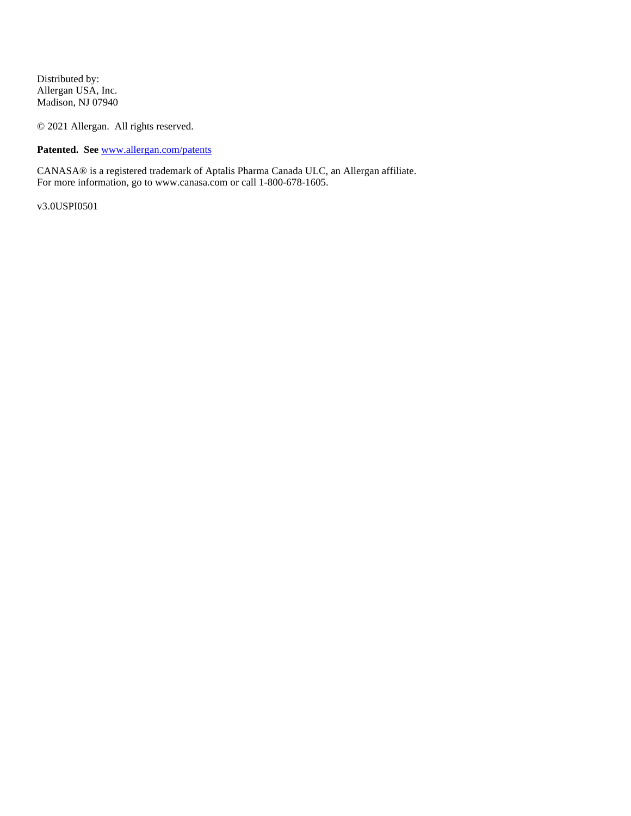Distributed by: Allergan USA, Inc. Madison, NJ 07940

© 2021 Allergan. All rights reserved.

**Patented. See** [www.allergan.com/patents](http://www.allergan.com/patents)

CANASA® is a registered trademark of Aptalis Pharma Canada ULC, an Allergan affiliate. For more information, go to www.canasa.com or call 1-800-678-1605.

v3.0USPI0501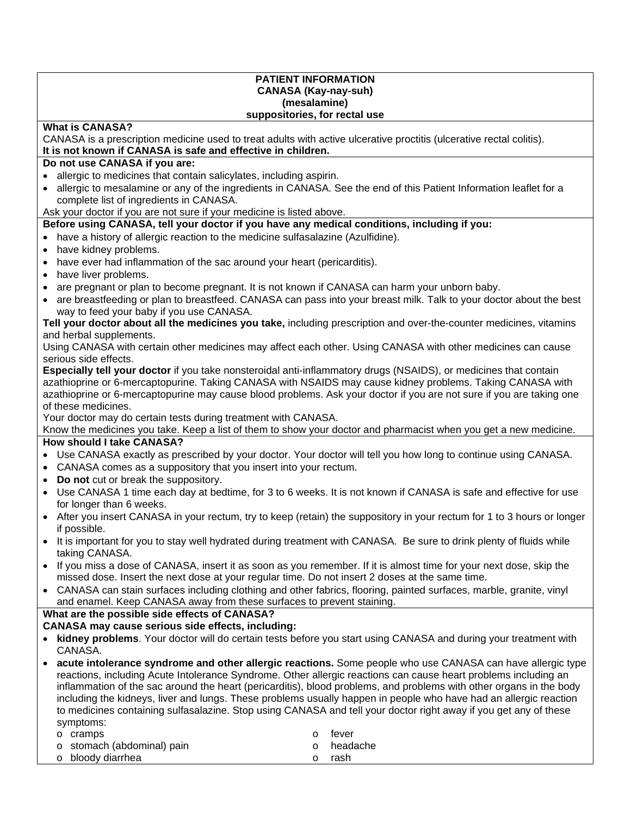#### **PATIENT INFORMATION CANASA (Kay-nay-suh) (mesalamine) suppositories, for rectal use**

## **What is CANASA?**

CANASA is a prescription medicine used to treat adults with active ulcerative proctitis (ulcerative rectal colitis). **It is not known if CANASA is safe and effective in children.** 

## **Do not use CANASA if you are:**

- allergic to medicines that contain salicylates, including aspirin.
- allergic to mesalamine or any of the ingredients in CANASA. See the end of this Patient Information leaflet for a complete list of ingredients in CANASA.

Ask your doctor if you are not sure if your medicine is listed above.

## **Before using CANASA, tell your doctor if you have any medical conditions, including if you:**

- have a history of allergic reaction to the medicine sulfasalazine (Azulfidine).
- have kidney problems.
- have ever had inflammation of the sac around your heart (pericarditis).
- have liver problems.
- are pregnant or plan to become pregnant. It is not known if CANASA can harm your unborn baby.
- are breastfeeding or plan to breastfeed. CANASA can pass into your breast milk. Talk to your doctor about the best way to feed your baby if you use CANASA.

#### **Tell your doctor about all the medicines you take,** including prescription and over-the-counter medicines, vitamins and herbal supplements.

Using CANASA with certain other medicines may affect each other. Using CANASA with other medicines can cause serious side effects.

**Especially tell your doctor** if you take nonsteroidal anti-inflammatory drugs (NSAIDS), or medicines that contain azathioprine or 6-mercaptopurine. Taking CANASA with NSAIDS may cause kidney problems. Taking CANASA with azathioprine or 6-mercaptopurine may cause blood problems. Ask your doctor if you are not sure if you are taking one of these medicines.

Your doctor may do certain tests during treatment with CANASA.

Know the medicines you take. Keep a list of them to show your doctor and pharmacist when you get a new medicine.

# **How should I take CANASA?**

- Use CANASA exactly as prescribed by your doctor. Your doctor will tell you how long to continue using CANASA.
- CANASA comes as a suppository that you insert into your rectum.
- **Do not** cut or break the suppository.
- Use CANASA 1 time each day at bedtime, for 3 to 6 weeks. It is not known if CANASA is safe and effective for use for longer than 6 weeks.
- After you insert CANASA in your rectum, try to keep (retain) the suppository in your rectum for 1 to 3 hours or longer if possible.
- It is important for you to stay well hydrated during treatment with CANASA. Be sure to drink plenty of fluids while taking CANASA.
- If you miss a dose of CANASA, insert it as soon as you remember. If it is almost time for your next dose, skip the missed dose. Insert the next dose at your regular time. Do not insert 2 doses at the same time.
- CANASA can stain surfaces including clothing and other fabrics, flooring, painted surfaces, marble, granite, vinyl and enamel. Keep CANASA away from these surfaces to prevent staining.

#### **What are the possible side effects of CANASA?**

## **CANASA may cause serious side effects, including:**

- **kidney problems**. Your doctor will do certain tests before you start using CANASA and during your treatment with CANASA.
- **acute intolerance syndrome and other allergic reactions.** Some people who use CANASA can have allergic type reactions, including Acute Intolerance Syndrome. Other allergic reactions can cause heart problems including an inflammation of the sac around the heart (pericarditis), blood problems, and problems with other organs in the body including the kidneys, liver and lungs. These problems usually happen in people who have had an allergic reaction to medicines containing sulfasalazine. Stop using CANASA and tell your doctor right away if you get any of these symptoms:

| o cramps                   |        | o fever    |
|----------------------------|--------|------------|
| o stomach (abdominal) pain |        | ○ headache |
| o bloody diarrhea          | $\cap$ | rash       |